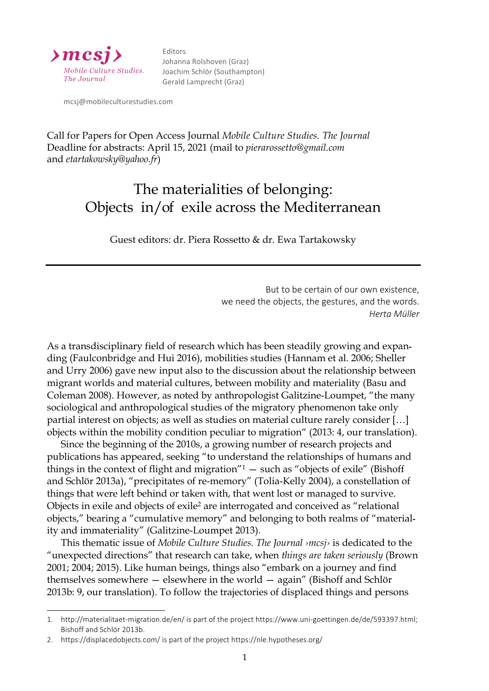

Editors Johanna Rolshoven (Graz) Joachim Schlör (Southampton) Gerald Lamprecht (Graz)

 mcsj@mobileculturestudies.com

Call for Papers for Open Access Journal *Mobile Culture Studies. The Journal* Deadline for abstracts: April 15, 2021 (mail to *pierarossetto@gmail.com* and *etartakowsky@yahoo.fr*)

## The materialities of belonging: Objects in/of exile across the Mediterranean

Guest editors: dr. Piera Rossetto & dr. Ewa Tartakowsky

But to be certain of our own existence, we need the objects, the gestures, and the words. *Herta Müller* 

As a transdisciplinary field of research which has been steadily growing and expanding (Faulconbridge and Hui 2016), mobilities studies (Hannam et al. 2006; Sheller and Urry 2006) gave new input also to the discussion about the relationship between migrant worlds and material cultures, between mobility and materiality (Basu and Coleman 2008). However, as noted by anthropologist Galitzine-Loumpet, "the many sociological and anthropological studies of the migratory phenomenon take only partial interest on objects; as well as studies on material culture rarely consider […] objects within the mobility condition peculiar to migration" (2013: 4, our translation).

Since the beginning of the 2010s, a growing number of research projects and publications has appeared, seeking "to understand the relationships of humans and things in the context of flight and migration $n_1$  – such as "objects of exile" (Bishoff and Schlör 2013a), "precipitates of re-memory" (Tolia-Kelly 2004), a constellation of things that were left behind or taken with, that went lost or managed to survive. Objects in exile and objects of exile2 are interrogated and conceived as "relational objects," bearing a "cumulative memory" and belonging to both realms of "materiality and immateriality" (Galitzine-Loumpet 2013).

This thematic issue of *Mobile Culture Studies. The Journal ›mcsj›* is dedicated to the "unexpected directions" that research can take, when *things are taken seriously* (Brown 2001; 2004; 2015). Like human beings, things also "embark on a journey and find themselves somewhere — elsewhere in the world — again" (Bishoff and Schlör 2013b: 9, our translation). To follow the trajectories of displaced things and persons

 $\overline{a}$ 

<sup>1.</sup> http://materialitaet-migration.de/en/ is part of the project https://www.uni-goettingen.de/de/593397.html; Bishoff and Schlör 2013b.

<sup>2.</sup> https://displacedobjects.com/ is part of the project https://nle.hypotheses.org/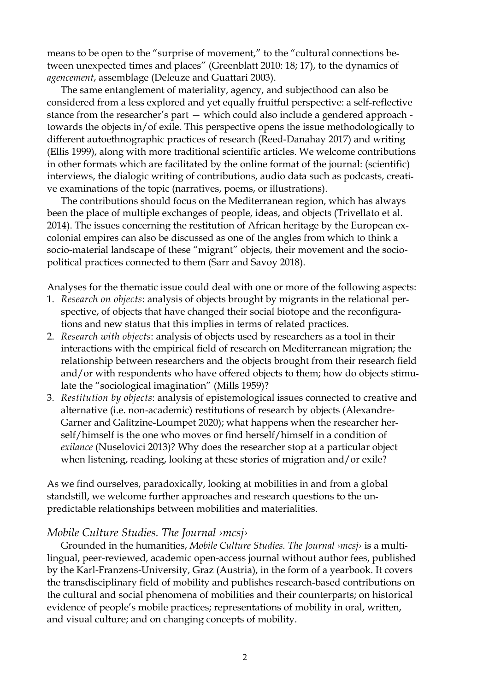means to be open to the "surprise of movement," to the "cultural connections between unexpected times and places" (Greenblatt 2010: 18; 17), to the dynamics of *agencement*, assemblage (Deleuze and Guattari 2003).

The same entanglement of materiality, agency, and subjecthood can also be considered from a less explored and yet equally fruitful perspective: a self-reflective stance from the researcher's part — which could also include a gendered approach towards the objects in/of exile. This perspective opens the issue methodologically to different autoethnographic practices of research (Reed-Danahay 2017) and writing (Ellis 1999), along with more traditional scientific articles. We welcome contributions in other formats which are facilitated by the online format of the journal: (scientific) interviews, the dialogic writing of contributions, audio data such as podcasts, creative examinations of the topic (narratives, poems, or illustrations).

The contributions should focus on the Mediterranean region, which has always been the place of multiple exchanges of people, ideas, and objects (Trivellato et al. 2014). The issues concerning the restitution of African heritage by the European excolonial empires can also be discussed as one of the angles from which to think a socio-material landscape of these "migrant" objects, their movement and the sociopolitical practices connected to them (Sarr and Savoy 2018).

Analyses for the thematic issue could deal with one or more of the following aspects:

- 1. *Research on objects*: analysis of objects brought by migrants in the relational perspective, of objects that have changed their social biotope and the reconfigurations and new status that this implies in terms of related practices.
- 2. *Research with objects*: analysis of objects used by researchers as a tool in their interactions with the empirical field of research on Mediterranean migration; the relationship between researchers and the objects brought from their research field and/or with respondents who have offered objects to them; how do objects stimulate the "sociological imagination" (Mills 1959)?
- 3. *Restitution by objects*: analysis of epistemological issues connected to creative and alternative (i.e. non-academic) restitutions of research by objects (Alexandre-Garner and Galitzine-Loumpet 2020); what happens when the researcher herself/himself is the one who moves or find herself/himself in a condition of *exilance* (Nuselovici 2013)? Why does the researcher stop at a particular object when listening, reading, looking at these stories of migration and/or exile?

As we find ourselves, paradoxically, looking at mobilities in and from a global standstill, we welcome further approaches and research questions to the unpredictable relationships between mobilities and materialities.

## *Mobile Culture Studies. The Journal ›mcsj›*

Grounded in the humanities, *Mobile Culture Studies. The Journal ›mcsj›* is a multilingual, peer-reviewed, academic open-access journal without author fees, published by the Karl-Franzens-University, Graz (Austria), in the form of a yearbook. It covers the transdisciplinary field of mobility and publishes research-based contributions on the cultural and social phenomena of mobilities and their counterparts; on historical evidence of people's mobile practices; representations of mobility in oral, written, and visual culture; and on changing concepts of mobility.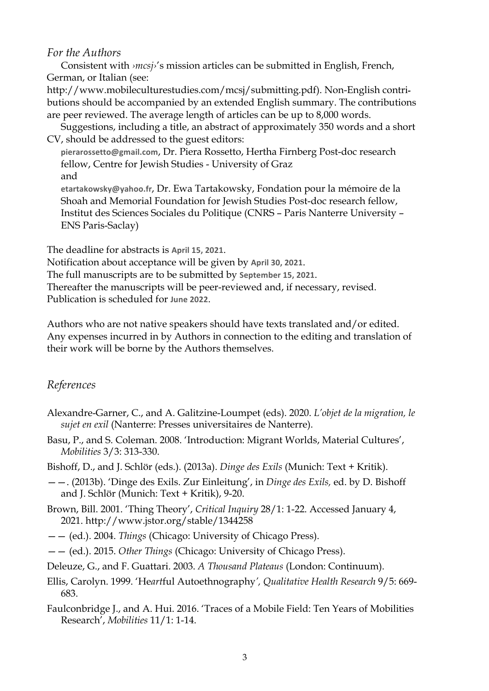## *For the Authors*

Consistent with *›mcsj›*'s mission articles can be submitted in English, French, German, or Italian (see:

http://www.mobileculturestudies.com/mcsj/submitting.pdf). Non-English contributions should be accompanied by an extended English summary. The contributions are peer reviewed. The average length of articles can be up to 8,000 words.

Suggestions, including a title, an abstract of approximately 350 words and a short CV, should be addressed to the guest editors:

**pierarossetto@gmail.com**, Dr. Piera Rossetto, Hertha Firnberg Post-doc research fellow, Centre for Jewish Studies - University of Graz and

**etartakowsky@yahoo.fr**, Dr. Ewa Tartakowsky, Fondation pour la mémoire de la Shoah and Memorial Foundation for Jewish Studies Post-doc research fellow, Institut des Sciences Sociales du Politique (CNRS – Paris Nanterre University – ENS Paris-Saclay)

The deadline for abstracts is April 15, 2021.

Notification about acceptance will be given by April 30, 2021.

The full manuscripts are to be submitted by September 15, 2021.

Thereafter the manuscripts will be peer-reviewed and, if necessary, revised. Publication is scheduled for **June 2022**.

Authors who are not native speakers should have texts translated and/or edited. Any expenses incurred in by Authors in connection to the editing and translation of their work will be borne by the Authors themselves.

## *References*

- Alexandre-Garner, C., and A. Galitzine-Loumpet (eds). 2020. *L'objet de la migration, le sujet en exil* (Nanterre: Presses universitaires de Nanterre).
- Basu, P., and S. Coleman. 2008. 'Introduction: Migrant Worlds, Material Cultures', *Mobilities* 3/3: 313-330.
- Bishoff, D., and J. Schlör (eds.). (2013a). *Dinge des Exils* (Munich: Text + Kritik).
- ——. (2013b). 'Dinge des Exils. Zur Einleitung', in *Dinge des Exils,* ed. by D. Bishoff and J. Schlör (Munich: Text + Kritik), 9-20.
- Brown, Bill. 2001. 'Thing Theory', *Critical Inquiry* 28/1: 1-22. Accessed January 4, 2021. http://www.jstor.org/stable/1344258
- —— (ed.). 2004. *Things* (Chicago: University of Chicago Press).
- —— (ed.). 2015. *Other Things* (Chicago: University of Chicago Press).
- Deleuze, G., and F. Guattari. 2003. *A Thousand Plateaus* (London: Continuum).
- Ellis, Carolyn. 1999. 'He*art*ful Autoethnography*', Qualitative Health Research* 9/5: 669- 683.
- Faulconbridge J., and A. Hui. 2016. 'Traces of a Mobile Field: Ten Years of Mobilities Research', *Mobilities* 11/1: 1-14.